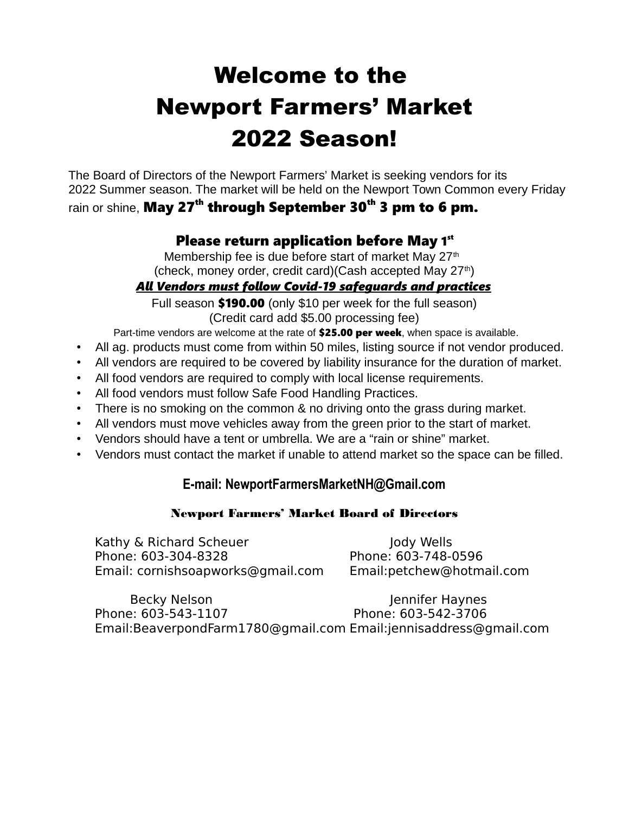# Welcome to the Newport Farmers' Market 2022 Season!

 The Board of Directors of the Newport Farmers' Market is seeking vendors for its 2022 Summer season. The market will be held on the Newport Town Common every Friday

## rain or shine, May 27<sup>th</sup> through September 30<sup>th</sup> 3 pm to 6 pm.

## Please return application before May 1st

Membership fee is due before start of market May 27<sup>th</sup> (check, money order, credit card)(Cash accepted May 27<sup>th</sup>)

### *All Vendors must follow Covid-19 safeguards and practices*

Full season **\$190.00** (only \$10 per week for the full season) (Credit card add \$5.00 processing fee)

- Part-time vendors are welcome at the rate of \$25.00 per week, when space is available.
- All ag. products must come from within 50 miles, listing source if not vendor produced.
- All vendors are required to be covered by liability insurance for the duration of market.
- All food vendors are required to comply with local license requirements.
- All food vendors must follow Safe Food Handling Practices.
- There is no smoking on the common & no driving onto the grass during market.
- All vendors must move vehicles away from the green prior to the start of market.
- Vendors should have a tent or umbrella. We are a "rain or shine" market.
- Vendors must contact the market if unable to attend market so the space can be filled.

### **E-mail: NewportFarmersMarketNH@Gmail.com**

#### Newport Farmers' Market Board of Directors

Kathy & Richard Scheuer Jody Wells Phone: 603-304-8328 Phone: 603-748-0596 Email: cornishsoapworks@gmail.com Email:petchew@hotmail.com

Becky Nelson and Jennifer Haynes Phone: 603-543-1107 Phone: 603-542-3706 Email:BeaverpondFarm1780@gmail.com Email:jennisaddress@gmail.com